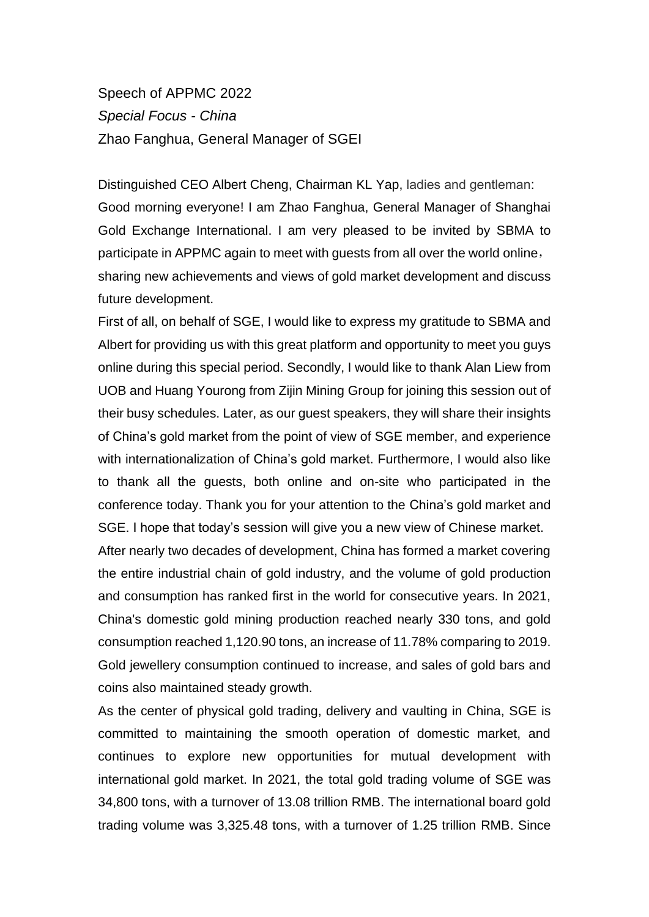Speech of APPMC 2022 *Special Focus - China* Zhao Fanghua, General Manager of SGEI

Distinguished CEO Albert Cheng, Chairman KL Yap, ladies and gentleman: Good morning everyone! I am Zhao Fanghua, General Manager of Shanghai Gold Exchange International. I am very pleased to be invited by SBMA to participate in APPMC again to meet with guests from all over the world online, sharing new achievements and views of gold market development and discuss future development.

First of all, on behalf of SGE, I would like to express my gratitude to SBMA and Albert for providing us with this great platform and opportunity to meet you guys online during this special period. Secondly, I would like to thank Alan Liew from UOB and Huang Yourong from Zijin Mining Group for joining this session out of their busy schedules. Later, as our guest speakers, they will share their insights of China's gold market from the point of view of SGE member, and experience with internationalization of China's gold market. Furthermore, I would also like to thank all the guests, both online and on-site who participated in the conference today. Thank you for your attention to the China's gold market and SGE. I hope that today's session will give you a new view of Chinese market. After nearly two decades of development, China has formed a market covering the entire industrial chain of gold industry, and the volume of gold production and consumption has ranked first in the world for consecutive years. In 2021, China's domestic gold mining production reached nearly 330 tons, and gold consumption reached 1,120.90 tons, an increase of 11.78% comparing to 2019. Gold jewellery consumption continued to increase, and sales of gold bars and coins also maintained steady growth.

As the center of physical gold trading, delivery and vaulting in China, SGE is committed to maintaining the smooth operation of domestic market, and continues to explore new opportunities for mutual development with international gold market. In 2021, the total gold trading volume of SGE was 34,800 tons, with a turnover of 13.08 trillion RMB. The international board gold trading volume was 3,325.48 tons, with a turnover of 1.25 trillion RMB. Since